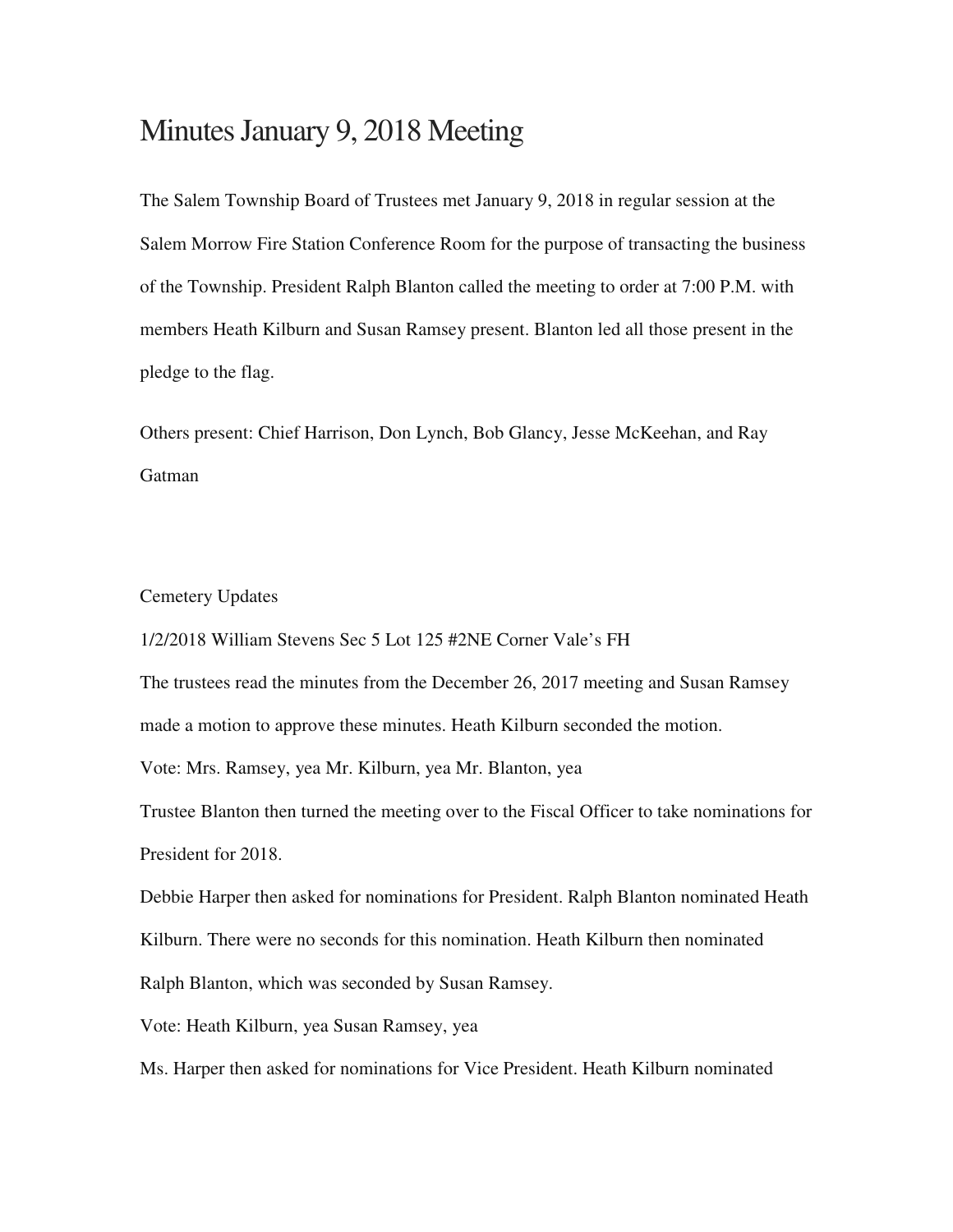# Minutes January 9, 2018 Meeting

The Salem Township Board of Trustees met January 9, 2018 in regular session at the Salem Morrow Fire Station Conference Room for the purpose of transacting the business of the Township. President Ralph Blanton called the meeting to order at 7:00 P.M. with members Heath Kilburn and Susan Ramsey present. Blanton led all those present in the pledge to the flag.

Others present: Chief Harrison, Don Lynch, Bob Glancy, Jesse McKeehan, and Ray **Gatman** 

### Cemetery Updates

1/2/2018 William Stevens Sec 5 Lot 125 #2NE Corner Vale's FH

The trustees read the minutes from the December 26, 2017 meeting and Susan Ramsey made a motion to approve these minutes. Heath Kilburn seconded the motion.

Vote: Mrs. Ramsey, yea Mr. Kilburn, yea Mr. Blanton, yea

Trustee Blanton then turned the meeting over to the Fiscal Officer to take nominations for President for 2018.

Debbie Harper then asked for nominations for President. Ralph Blanton nominated Heath Kilburn. There were no seconds for this nomination. Heath Kilburn then nominated Ralph Blanton, which was seconded by Susan Ramsey.

Vote: Heath Kilburn, yea Susan Ramsey, yea

Ms. Harper then asked for nominations for Vice President. Heath Kilburn nominated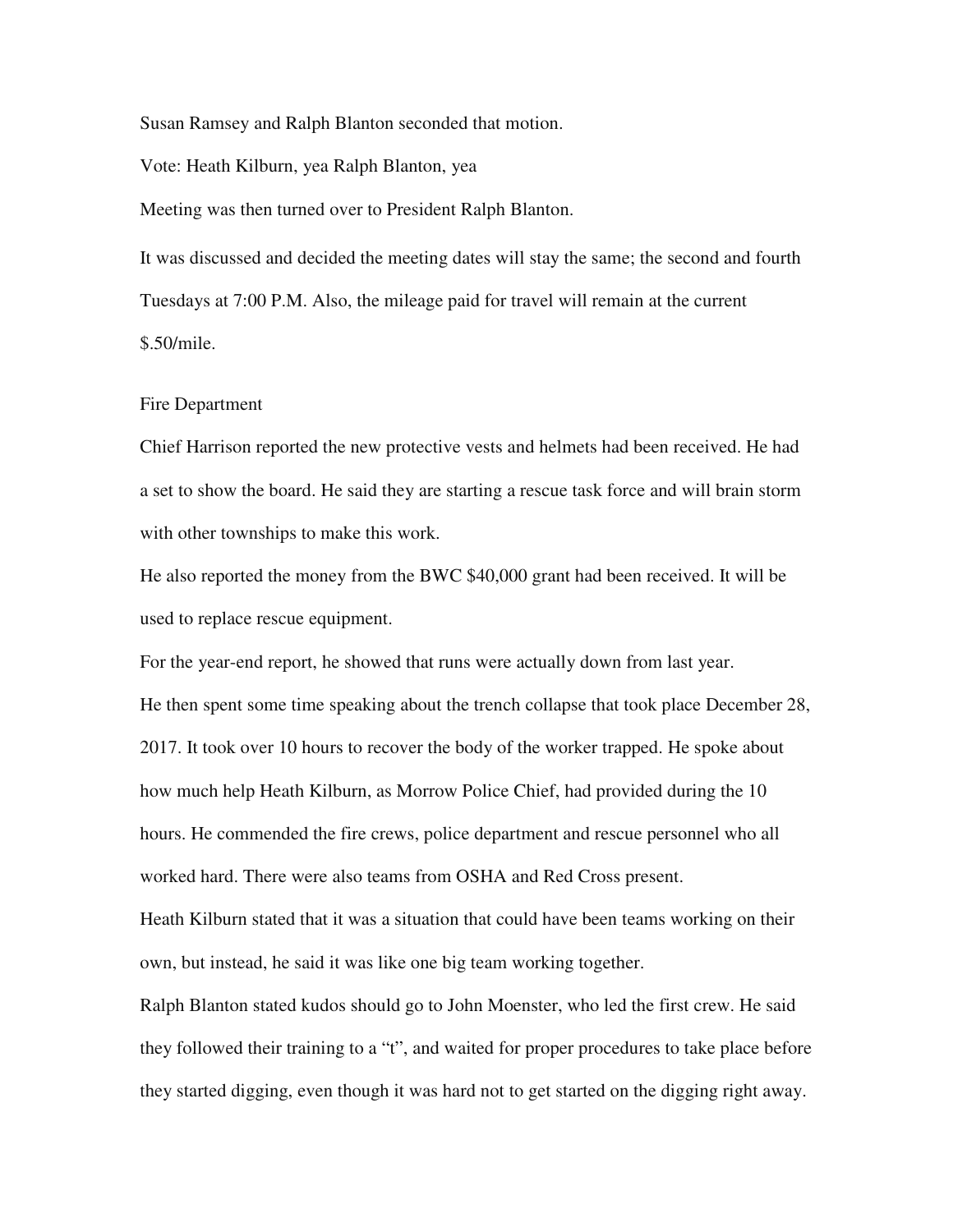Susan Ramsey and Ralph Blanton seconded that motion.

Vote: Heath Kilburn, yea Ralph Blanton, yea

Meeting was then turned over to President Ralph Blanton.

It was discussed and decided the meeting dates will stay the same; the second and fourth Tuesdays at 7:00 P.M. Also, the mileage paid for travel will remain at the current \$.50/mile.

#### Fire Department

Chief Harrison reported the new protective vests and helmets had been received. He had a set to show the board. He said they are starting a rescue task force and will brain storm with other townships to make this work.

He also reported the money from the BWC \$40,000 grant had been received. It will be used to replace rescue equipment.

For the year-end report, he showed that runs were actually down from last year. He then spent some time speaking about the trench collapse that took place December 28, 2017. It took over 10 hours to recover the body of the worker trapped. He spoke about how much help Heath Kilburn, as Morrow Police Chief, had provided during the 10 hours. He commended the fire crews, police department and rescue personnel who all worked hard. There were also teams from OSHA and Red Cross present.

Heath Kilburn stated that it was a situation that could have been teams working on their own, but instead, he said it was like one big team working together.

Ralph Blanton stated kudos should go to John Moenster, who led the first crew. He said they followed their training to a "t", and waited for proper procedures to take place before they started digging, even though it was hard not to get started on the digging right away.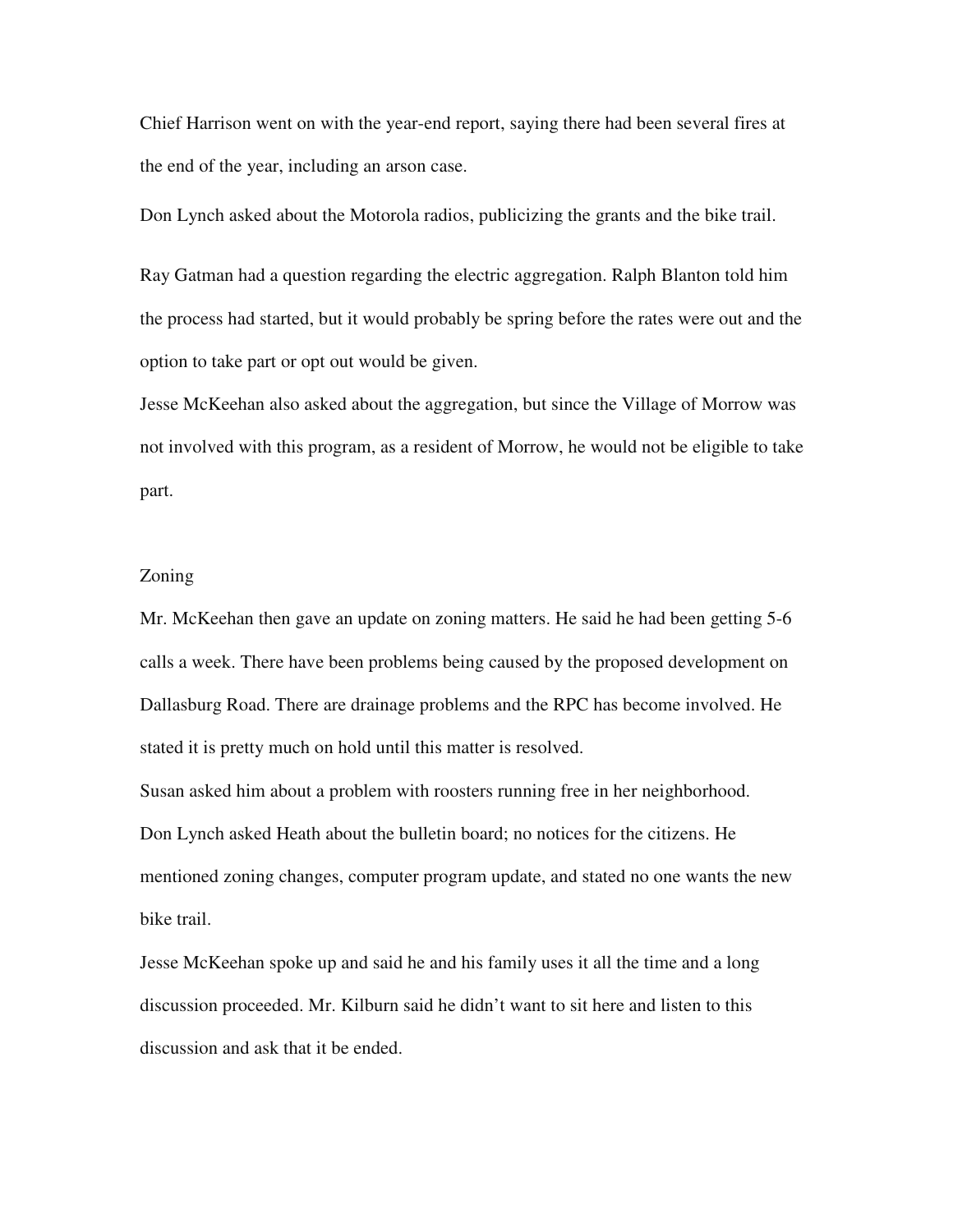Chief Harrison went on with the year-end report, saying there had been several fires at the end of the year, including an arson case.

Don Lynch asked about the Motorola radios, publicizing the grants and the bike trail.

Ray Gatman had a question regarding the electric aggregation. Ralph Blanton told him the process had started, but it would probably be spring before the rates were out and the option to take part or opt out would be given.

Jesse McKeehan also asked about the aggregation, but since the Village of Morrow was not involved with this program, as a resident of Morrow, he would not be eligible to take part.

## Zoning

Mr. McKeehan then gave an update on zoning matters. He said he had been getting 5-6 calls a week. There have been problems being caused by the proposed development on Dallasburg Road. There are drainage problems and the RPC has become involved. He stated it is pretty much on hold until this matter is resolved.

Susan asked him about a problem with roosters running free in her neighborhood. Don Lynch asked Heath about the bulletin board; no notices for the citizens. He mentioned zoning changes, computer program update, and stated no one wants the new bike trail.

Jesse McKeehan spoke up and said he and his family uses it all the time and a long discussion proceeded. Mr. Kilburn said he didn't want to sit here and listen to this discussion and ask that it be ended.